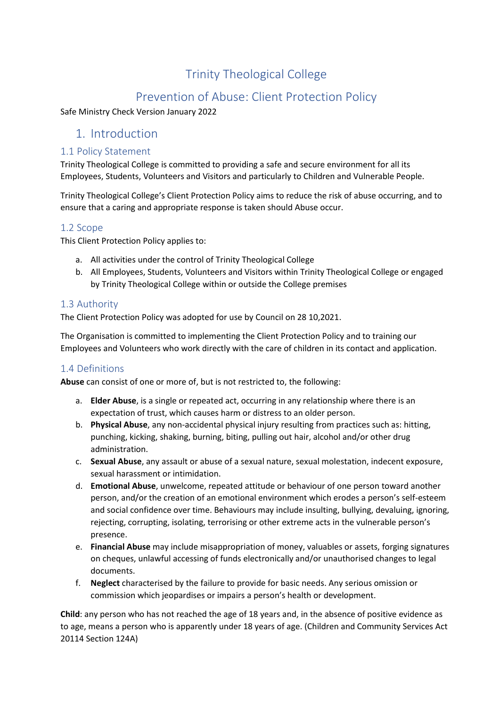# Trinity Theological College

## Prevention of Abuse: Client Protection Policy

Safe Ministry Check Version January 2022

## 1. Introduction

#### 1.1 Policy Statement

Trinity Theological College is committed to providing a safe and secure environment for all its Employees, Students, Volunteers and Visitors and particularly to Children and Vulnerable People.

Trinity Theological College's Client Protection Policy aims to reduce the risk of abuse occurring, and to ensure that a caring and appropriate response is taken should Abuse occur.

#### 1.2 Scope

This Client Protection Policy applies to:

- a. All activities under the control of Trinity Theological College
- b. All Employees, Students, Volunteers and Visitors within Trinity Theological College or engaged by Trinity Theological College within or outside the College premises

#### 1.3 Authority

The Client Protection Policy was adopted for use by Council on 28 10,2021.

The Organisation is committed to implementing the Client Protection Policy and to training our Employees and Volunteers who work directly with the care of children in its contact and application.

#### 1.4 Definitions

**Abuse** can consist of one or more of, but is not restricted to, the following:

- a. **Elder Abuse**, is a single or repeated act, occurring in any relationship where there is an expectation of trust, which causes harm or distress to an older person.
- b. **Physical Abuse**, any non-accidental physical injury resulting from practices such as: hitting, punching, kicking, shaking, burning, biting, pulling out hair, alcohol and/or other drug administration.
- c. **Sexual Abuse**, any assault or abuse of a sexual nature, sexual molestation, indecent exposure, sexual harassment or intimidation.
- d. **Emotional Abuse**, unwelcome, repeated attitude or behaviour of one person toward another person, and/or the creation of an emotional environment which erodes a person's self-esteem and social confidence over time. Behaviours may include insulting, bullying, devaluing, ignoring, rejecting, corrupting, isolating, terrorising or other extreme acts in the vulnerable person's presence.
- e. **Financial Abuse** may include misappropriation of money, valuables or assets, forging signatures on cheques, unlawful accessing of funds electronically and/or unauthorised changes to legal documents.
- f. **Neglect** characterised by the failure to provide for basic needs. Any serious omission or commission which jeopardises or impairs a person's health or development.

**Child**: any person who has not reached the age of 18 years and, in the absence of positive evidence as to age, means a person who is apparently under 18 years of age. (Children and Community Services Act 20114 Section 124A)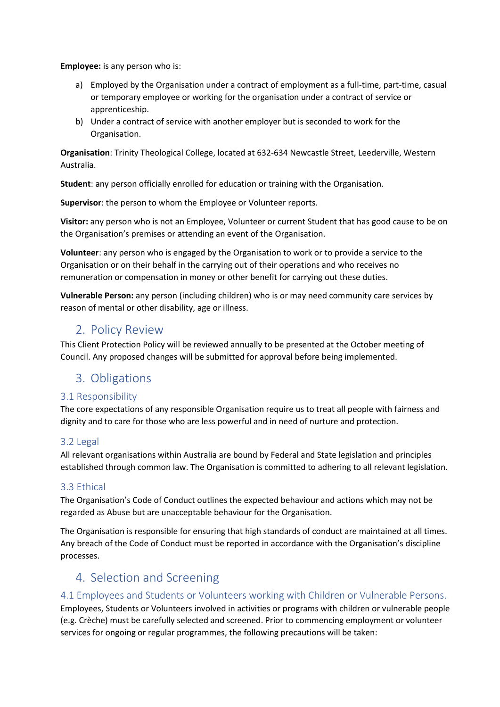**Employee:** is any person who is:

- a) Employed by the Organisation under a contract of employment as a full-time, part-time, casual or temporary employee or working for the organisation under a contract of service or apprenticeship.
- b) Under a contract of service with another employer but is seconded to work for the Organisation.

**Organisation**: Trinity Theological College, located at 632-634 Newcastle Street, Leederville, Western Australia.

**Student**: any person officially enrolled for education or training with the Organisation.

**Supervisor**: the person to whom the Employee or Volunteer reports.

**Visitor:** any person who is not an Employee, Volunteer or current Student that has good cause to be on the Organisation's premises or attending an event of the Organisation.

**Volunteer**: any person who is engaged by the Organisation to work or to provide a service to the Organisation or on their behalf in the carrying out of their operations and who receives no remuneration or compensation in money or other benefit for carrying out these duties.

**Vulnerable Person:** any person (including children) who is or may need community care services by reason of mental or other disability, age or illness.

## 2. Policy Review

This Client Protection Policy will be reviewed annually to be presented at the October meeting of Council. Any proposed changes will be submitted for approval before being implemented.

## 3. Obligations

#### 3.1 Responsibility

The core expectations of any responsible Organisation require us to treat all people with fairness and dignity and to care for those who are less powerful and in need of nurture and protection.

#### 3.2 Legal

All relevant organisations within Australia are bound by Federal and State legislation and principles established through common law. The Organisation is committed to adhering to all relevant legislation.

#### 3.3 Ethical

The Organisation's Code of Conduct outlines the expected behaviour and actions which may not be regarded as Abuse but are unacceptable behaviour for the Organisation.

The Organisation is responsible for ensuring that high standards of conduct are maintained at all times. Any breach of the Code of Conduct must be reported in accordance with the Organisation's discipline processes.

### 4. Selection and Screening

#### 4.1 Employees and Students or Volunteers working with Children or Vulnerable Persons.

Employees, Students or Volunteers involved in activities or programs with children or vulnerable people (e.g. Crèche) must be carefully selected and screened. Prior to commencing employment or volunteer services for ongoing or regular programmes, the following precautions will be taken: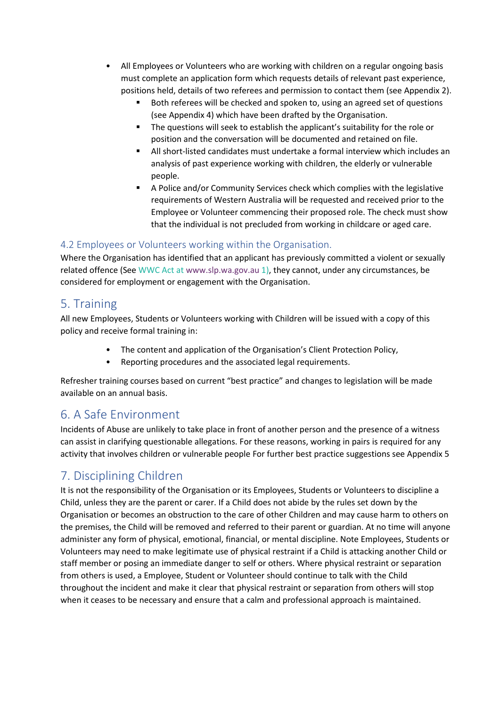- All Employees or Volunteers who are working with children on a regular ongoing basis must complete an application form which requests details of relevant past experience, positions held, details of two referees and permission to contact them (see Appendix 2).
	- Both referees will be checked and spoken to, using an agreed set of questions (see Appendix 4) which have been drafted by the Organisation.
	- The questions will seek to establish the applicant's suitability for the role or position and the conversation will be documented and retained on file.
	- All short-listed candidates must undertake a formal interview which includes an analysis of past experience working with children, the elderly or vulnerable people.
	- A Police and/or Community Services check which complies with the legislative requirements of Western Australia will be requested and received prior to the Employee or Volunteer commencing their proposed role. The check must show that the individual is not precluded from working in childcare or aged care.

#### 4.2 Employees or Volunteers working within the Organisation.

Where the Organisation has identified that an applicant has previously committed a violent or sexually related offence (See WWC Act at www.slp.wa.gov.au 1), they cannot, under any circumstances, be considered for employment or engagement with the Organisation.

## 5. Training

All new Employees, Students or Volunteers working with Children will be issued with a copy of this policy and receive formal training in:

- The content and application of the Organisation's Client Protection Policy,
- Reporting procedures and the associated legal requirements.

Refresher training courses based on current "best practice" and changes to legislation will be made available on an annual basis.

## 6. A Safe Environment

Incidents of Abuse are unlikely to take place in front of another person and the presence of a witness can assist in clarifying questionable allegations. For these reasons, working in pairs is required for any activity that involves children or vulnerable people For further best practice suggestions see Appendix 5

# 7. Disciplining Children

It is not the responsibility of the Organisation or its Employees, Students or Volunteers to discipline a Child, unless they are the parent or carer. If a Child does not abide by the rules set down by the Organisation or becomes an obstruction to the care of other Children and may cause harm to others on the premises, the Child will be removed and referred to their parent or guardian. At no time will anyone administer any form of physical, emotional, financial, or mental discipline. Note Employees, Students or Volunteers may need to make legitimate use of physical restraint if a Child is attacking another Child or staff member or posing an immediate danger to self or others. Where physical restraint or separation from others is used, a Employee, Student or Volunteer should continue to talk with the Child throughout the incident and make it clear that physical restraint or separation from others will stop when it ceases to be necessary and ensure that a calm and professional approach is maintained.